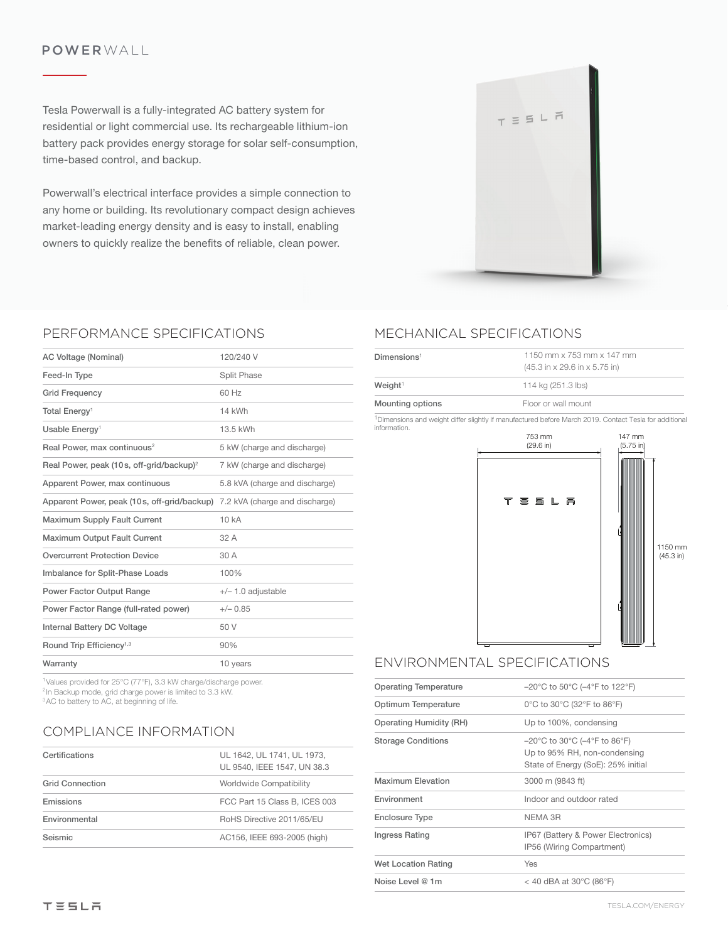### POWERWALL

Tesla Powerwall is a fully-integrated AC battery system for residential or light commercial use. Its rechargeable lithium-ion battery pack provides energy storage for solar self-consumption, time-based control, and backup.

Powerwall's electrical interface provides a simple connection to any home or building. Its revolutionary compact design achieves market-leading energy density and is easy to install, enabling owners to quickly realize the benefits of reliable, clean power.



### PERFORMANCE SPECIFICATIONS

| AC Voltage (Nominal)                                                        | 120/240 V                      |
|-----------------------------------------------------------------------------|--------------------------------|
| Feed-In Type                                                                | Split Phase                    |
| <b>Grid Frequency</b>                                                       | 60 Hz                          |
| Total Energy <sup>1</sup>                                                   | 14 kWh                         |
| Usable Energy <sup>1</sup>                                                  | 13.5 kWh                       |
| Real Power, max continuous <sup>2</sup>                                     | 5 kW (charge and discharge)    |
| Real Power, peak (10s, off-grid/backup) <sup>2</sup>                        | 7 kW (charge and discharge)    |
| Apparent Power, max continuous                                              | 5.8 kVA (charge and discharge) |
| Apparent Power, peak (10 s, off-grid/backup) 7.2 kVA (charge and discharge) |                                |
| Maximum Supply Fault Current                                                | 10 kA                          |
| Maximum Output Fault Current                                                | 32 A                           |
| <b>Overcurrent Protection Device</b>                                        | 30 A                           |
| Imbalance for Split-Phase Loads                                             | 100%                           |
| Power Factor Output Range                                                   | $+/- 1.0$ adjustable           |
| Power Factor Range (full-rated power)                                       | $+/- 0.85$                     |
| <b>Internal Battery DC Voltage</b>                                          | 50 V                           |
| Round Trip Efficiency <sup>1,3</sup>                                        | 90%                            |
| Warranty                                                                    | 10 years                       |
|                                                                             |                                |

1Values provided for 25°C (77°F), 3.3 kW charge/discharge power. <sup>2</sup>In Backup mode, grid charge power is limited to 3.3 kW. <sup>3</sup>AC to battery to AC, at beginning of life.

### COMPLIANCE INFORMATION

| Certifications         | UL 1642, UL 1741, UL 1973,<br>UL 9540. IEEE 1547. UN 38.3 |
|------------------------|-----------------------------------------------------------|
| <b>Grid Connection</b> | Worldwide Compatibility                                   |
| Emissions              | FCC Part 15 Class B, ICES 003                             |
| Environmental          | RoHS Directive 2011/65/EU                                 |
| Seismic                | AC156, IEEE 693-2005 (high)                               |

# MECHANICAL SPECIFICATIONS

| Dimensions <sup>1</sup> | 1150 mm x 753 mm x 147 mm<br>$(45.3 \text{ in} \times 29.6 \text{ in} \times 5.75 \text{ in})$ |
|-------------------------|------------------------------------------------------------------------------------------------|
| Weight <sup>1</sup>     | 114 kg (251.3 lbs)                                                                             |
| Mounting options        | Floor or wall mount                                                                            |
|                         |                                                                                                |

1Dimensions and weight differ slightly if manufactured before March 2019. Contact Tesla for additional information.



## ENVIRONMENTAL SPECIFICATIONS

| <b>Operating Temperature</b> | $-20^{\circ}$ C to 50 $^{\circ}$ C ( $-4^{\circ}$ F to 122 $^{\circ}$ F)                                                                      |
|------------------------------|-----------------------------------------------------------------------------------------------------------------------------------------------|
| Optimum Temperature          | 0°C to 30°C (32°F to 86°F)                                                                                                                    |
| Operating Humidity (RH)      | Up to 100%, condensing                                                                                                                        |
| <b>Storage Conditions</b>    | $-20^{\circ}$ C to 30 $^{\circ}$ C ( $-4^{\circ}$ F to 86 $^{\circ}$ F)<br>Up to 95% RH, non-condensing<br>State of Energy (SoE): 25% initial |
| <b>Maximum Elevation</b>     | 3000 m (9843 ft)                                                                                                                              |
| Environment                  | Indoor and outdoor rated                                                                                                                      |
| Enclosure Type               | NEMA 3R                                                                                                                                       |
| Ingress Rating               | IP67 (Battery & Power Electronics)<br>IP56 (Wiring Compartment)                                                                               |
| <b>Wet Location Rating</b>   | Yes                                                                                                                                           |
| Noise Level $@$ 1m           | < 40 dBA at 30 $^{\circ}$ C (86 $^{\circ}$ F)                                                                                                 |